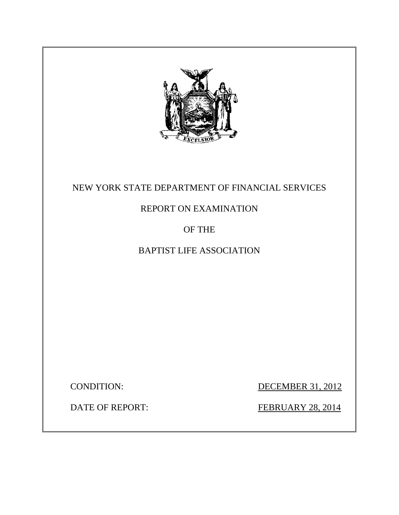

# NEW YORK STATE DEPARTMENT OF FINANCIAL SERVICES

# REPORT ON EXAMINATION

# OF THE

# BAPTIST LIFE ASSOCIATION

CONDITION: DECEMBER 31, 2012

**DATE OF REPORT:** 

FEBRUARY 28, 2014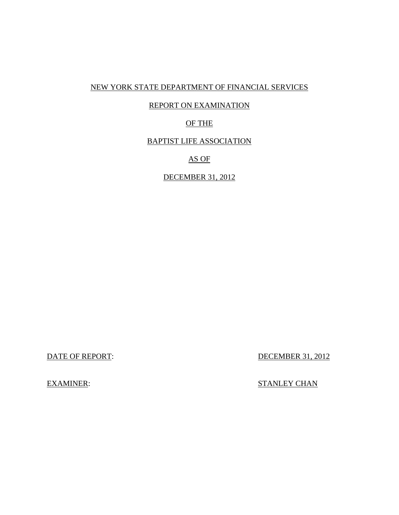## NEW YORK STATE DEPARTMENT OF FINANCIAL SERVICES

## REPORT ON EXAMINATION

## OF THE

### BAPTIST LIFE ASSOCIATION

## AS OF

## DECEMBER 31, 2012

DATE OF REPORT:

DECEMBER 31, 2012

EXAMINER: STANLEY CHAN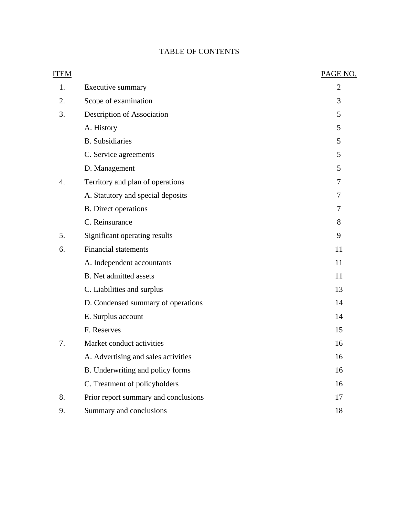## TABLE OF CONTENTS

| <b>ITEM</b> |                                      | PAGE NO.       |
|-------------|--------------------------------------|----------------|
| 1.          | Executive summary                    | $\overline{2}$ |
| 2.          | Scope of examination                 | 3              |
| 3.          | Description of Association           | 5              |
|             | A. History                           | 5              |
|             | <b>B.</b> Subsidiaries               | 5              |
|             | C. Service agreements                | 5              |
|             | D. Management                        | 5              |
| 4.          | Territory and plan of operations     | 7              |
|             | A. Statutory and special deposits    | 7              |
|             | <b>B.</b> Direct operations          | 7              |
|             | C. Reinsurance                       | 8              |
| 5.          | Significant operating results        | 9              |
| 6.          | <b>Financial statements</b>          | 11             |
|             | A. Independent accountants           | 11             |
|             | <b>B.</b> Net admitted assets        | 11             |
|             | C. Liabilities and surplus           | 13             |
|             | D. Condensed summary of operations   | 14             |
|             | E. Surplus account                   | 14             |
|             | F. Reserves                          | 15             |
| 7.          | Market conduct activities            | 16             |
|             | A. Advertising and sales activities  | 16             |
|             | B. Underwriting and policy forms     | 16             |
|             | C. Treatment of policyholders        | 16             |
| 8.          | Prior report summary and conclusions | 17             |
| 9.          | Summary and conclusions              | 18             |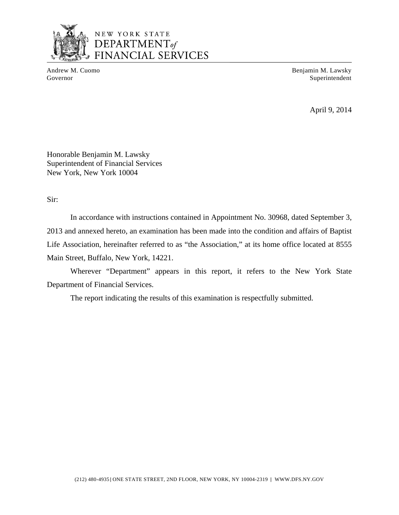

NEW YORK STATE **DEPARTMENT**<br>DEPARTMENT<sub>of</sub><br>FINANCIAL SERVICES

Andrew M. Cuomo **Benjamin M. Lawsky** Governor Superintendent Superintendent Superintendent Superintendent Superintendent Superintendent Superintendent Superintendent Superintendent Superintendent Superintendent Superintendent Superintendent Superintendent Sup

April 9, 2014

Honorable Benjamin M. Lawsky Superintendent of Financial Services New York, New York 10004

Sir:

In accordance with instructions contained in Appointment No. 30968, dated September 3, 2013 and annexed hereto, an examination has been made into the condition and affairs of Baptist Life Association, hereinafter referred to as "the Association," at its home office located at 8555 Main Street, Buffalo, New York, 14221.

Wherever "Department" appears in this report, it refers to the New York State Department of Financial Services.

The report indicating the results of this examination is respectfully submitted.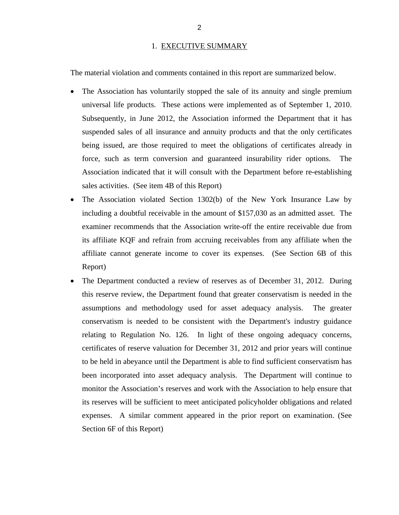#### 1. EXECUTIVE SUMMARY

<span id="page-4-0"></span>The material violation and comments contained in this report are summarized below.

- The Association has voluntarily stopped the sale of its annuity and single premium universal life products. These actions were implemented as of September 1, 2010. Subsequently, in June 2012, the Association informed the Department that it has suspended sales of all insurance and annuity products and that the only certificates being issued, are those required to meet the obligations of certificates already in force, such as term conversion and guaranteed insurability rider options. The Association indicated that it will consult with the Department before re-establishing sales activities. (See item 4B of this Report)
- The Association violated Section 1302(b) of the New York Insurance Law by including a doubtful receivable in the amount of \$157,030 as an admitted asset. The examiner recommends that the Association write-off the entire receivable due from its affiliate KQF and refrain from accruing receivables from any affiliate when the affiliate cannot generate income to cover its expenses. (See Section 6B of this Report)
- The Department conducted a review of reserves as of December 31, 2012. During this reserve review, the Department found that greater conservatism is needed in the assumptions and methodology used for asset adequacy analysis. The greater conservatism is needed to be consistent with the Department's industry guidance relating to Regulation No. 126. In light of these ongoing adequacy concerns, certificates of reserve valuation for December 31, 2012 and prior years will continue to be held in abeyance until the Department is able to find sufficient conservatism has been incorporated into asset adequacy analysis. The Department will continue to monitor the Association's reserves and work with the Association to help ensure that its reserves will be sufficient to meet anticipated policyholder obligations and related expenses. A similar comment appeared in the prior report on examination. (See Section 6F of this Report)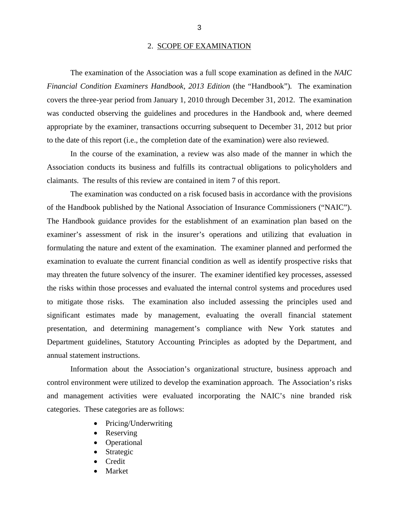#### 2. SCOPE OF EXAMINATION

<span id="page-5-0"></span>The examination of the Association was a full scope examination as defined in the *NAIC Financial Condition Examiners Handbook, 2013 Edition* (the "Handbook"). The examination covers the three-year period from January 1, 2010 through December 31, 2012. The examination was conducted observing the guidelines and procedures in the Handbook and, where deemed appropriate by the examiner, transactions occurring subsequent to December 31, 2012 but prior to the date of this report (i.e., the completion date of the examination) were also reviewed.

In the course of the examination, a review was also made of the manner in which the Association conducts its business and fulfills its contractual obligations to policyholders and claimants. The results of this review are contained in item 7 of this report.

The examination was conducted on a risk focused basis in accordance with the provisions of the Handbook published by the National Association of Insurance Commissioners ("NAIC"). The Handbook guidance provides for the establishment of an examination plan based on the examiner's assessment of risk in the insurer's operations and utilizing that evaluation in formulating the nature and extent of the examination. The examiner planned and performed the examination to evaluate the current financial condition as well as identify prospective risks that may threaten the future solvency of the insurer. The examiner identified key processes, assessed the risks within those processes and evaluated the internal control systems and procedures used to mitigate those risks. The examination also included assessing the principles used and significant estimates made by management, evaluating the overall financial statement presentation, and determining management's compliance with New York statutes and Department guidelines, Statutory Accounting Principles as adopted by the Department, and annual statement instructions.

Information about the Association's organizational structure, business approach and control environment were utilized to develop the examination approach. The Association's risks and management activities were evaluated incorporating the NAIC's nine branded risk categories. These categories are as follows:

- Pricing/Underwriting
- Reserving
- Operational
- Strategic
- Credit
- Market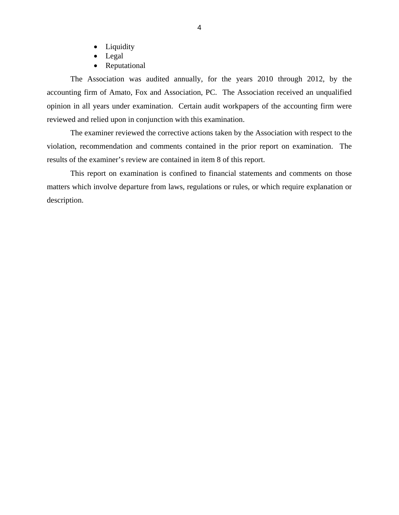- Liquidity
- Legal
- Reputational

The Association was audited annually, for the years 2010 through 2012, by the accounting firm of Amato, Fox and Association, PC. The Association received an unqualified opinion in all years under examination. Certain audit workpapers of the accounting firm were reviewed and relied upon in conjunction with this examination.

The examiner reviewed the corrective actions taken by the Association with respect to the violation, recommendation and comments contained in the prior report on examination. The results of the examiner's review are contained in item 8 of this report.

This report on examination is confined to financial statements and comments on those matters which involve departure from laws, regulations or rules, or which require explanation or description.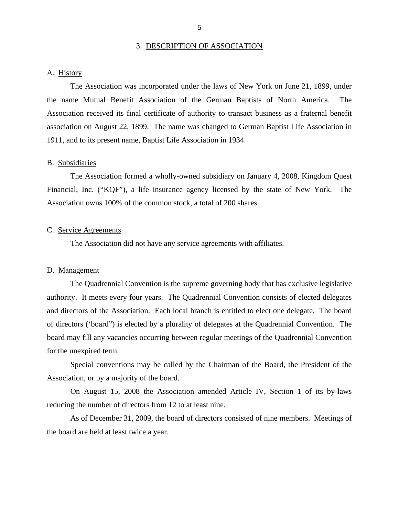#### 3. DESCRIPTION OF ASSOCIATION

#### <span id="page-7-0"></span>A. History

The Association was incorporated under the laws of New York on June 21, 1899, under the name Mutual Benefit Association of the German Baptists of North America. The Association received its final certificate of authority to transact business as a fraternal benefit association on August 22, 1899. The name was changed to German Baptist Life Association in 1911, and to its present name, Baptist Life Association in 1934.

#### B. Subsidiaries

The Association formed a wholly-owned subsidiary on January 4, 2008, Kingdom Quest Financial, Inc. ("KQF"), a life insurance agency licensed by the state of New York. The Association owns 100% of the common stock, a total of 200 shares.

#### C. Service Agreements

The Association did not have any service agreements with affiliates.

#### D. Management

The Quadrennial Convention is the supreme governing body that has exclusive legislative authority. It meets every four years. The Quadrennial Convention consists of elected delegates and directors of the Association. Each local branch is entitled to elect one delegate. The board of directors ('board") is elected by a plurality of delegates at the Quadrennial Convention. The board may fill any vacancies occurring between regular meetings of the Quadrennial Convention for the unexpired term.

Special conventions may be called by the Chairman of the Board, the President of the Association, or by a majority of the board.

On August 15, 2008 the Association amended Article IV, Section 1 of its by-laws reducing the number of directors from 12 to at least nine.

As of December 31, 2009, the board of directors consisted of nine members. Meetings of the board are held at least twice a year.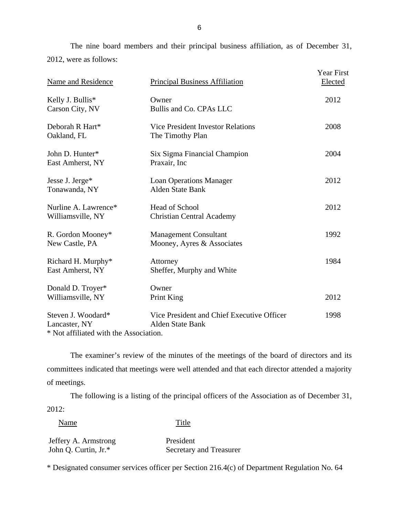The nine board members and their principal business affiliation, as of December 31, 2012, were as follows:

| Name and Residence                        | <b>Principal Business Affiliation</b>                                 | Year First<br>Elected |
|-------------------------------------------|-----------------------------------------------------------------------|-----------------------|
| Kelly J. Bullis*<br>Carson City, NV       | Owner<br>Bullis and Co. CPAs LLC                                      | 2012                  |
| Deborah R Hart*<br>Oakland, FL            | <b>Vice President Investor Relations</b><br>The Timothy Plan          | 2008                  |
| John D. Hunter*<br>East Amherst, NY       | Six Sigma Financial Champion<br>Praxair, Inc                          | 2004                  |
| Jesse J. Jerge*<br>Tonawanda, NY          | <b>Loan Operations Manager</b><br><b>Alden State Bank</b>             | 2012                  |
| Nurline A. Lawrence*<br>Williamsville, NY | <b>Head of School</b><br><b>Christian Central Academy</b>             | 2012                  |
| R. Gordon Mooney*<br>New Castle, PA       | <b>Management Consultant</b><br>Mooney, Ayres & Associates            | 1992                  |
| Richard H. Murphy*<br>East Amherst, NY    | Attorney<br>Sheffer, Murphy and White                                 | 1984                  |
| Donald D. Troyer*<br>Williamsville, NY    | Owner<br>Print King                                                   | 2012                  |
| Steven J. Woodard*<br>Lancaster, NY       | Vice President and Chief Executive Officer<br><b>Alden State Bank</b> | 1998                  |

\* Not affiliated with the Association.

The examiner's review of the minutes of the meetings of the board of directors and its committees indicated that meetings were well attended and that each director attended a majority of meetings.

The following is a listing of the principal officers of the Association as of December 31, 2012:

Name Title

Jeffery A. Armstrong President John Q. Curtin, Jr.\* Secretary and Treasurer

\* Designated consumer services officer per Section 216.4(c) of Department Regulation No. 64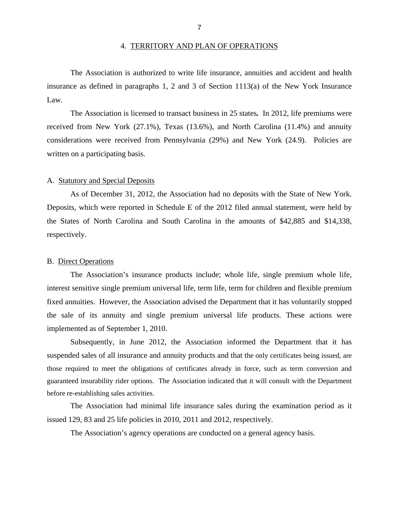#### 4. TERRITORY AND PLAN OF OPERATIONS

<span id="page-9-0"></span>The Association is authorized to write life insurance, annuities and accident and health insurance as defined in paragraphs 1, 2 and 3 of Section 1113(a) of the New York Insurance Law.

The Association is licensed to transact business in 25 states*.* In 2012, life premiums were received from New York (27.1%), Texas (13.6%), and North Carolina (11.4%) and annuity considerations were received from Pennsylvania (29%) and New York (24.9). Policies are written on a participating basis.

#### A. Statutory and Special Deposits

As of December 31, 2012, the Association had no deposits with the State of New York. Deposits, which were reported in Schedule E of the 2012 filed annual statement, were held by the States of North Carolina and South Carolina in the amounts of \$42,885 and \$14,338, respectively.

#### B. Direct Operations

The Association's insurance products include; whole life, single premium whole life, interest sensitive single premium universal life, term life, term for children and flexible premium fixed annuities. However, the Association advised the Department that it has voluntarily stopped the sale of its annuity and single premium universal life products. These actions were implemented as of September 1, 2010.

Subsequently, in June 2012, the Association informed the Department that it has suspended sales of all insurance and annuity products and that the only certificates being issued, are those required to meet the obligations of certificates already in force, such as term conversion and guaranteed insurability rider options. The Association indicated that it will consult with the Department before re-establishing sales activities.

The Association had minimal life insurance sales during the examination period as it issued 129, 83 and 25 life policies in 2010, 2011 and 2012, respectively.

The Association's agency operations are conducted on a general agency basis.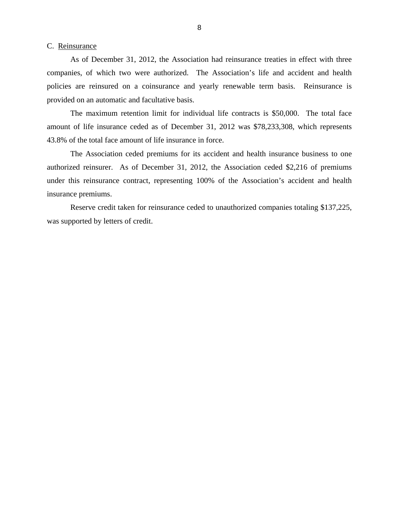#### <span id="page-10-0"></span>C. Reinsurance

As of December 31, 2012, the Association had reinsurance treaties in effect with three companies, of which two were authorized. The Association's life and accident and health policies are reinsured on a coinsurance and yearly renewable term basis. Reinsurance is provided on an automatic and facultative basis.

The maximum retention limit for individual life contracts is \$50,000. The total face amount of life insurance ceded as of December 31, 2012 was \$78,233,308, which represents 43.8% of the total face amount of life insurance in force.

The Association ceded premiums for its accident and health insurance business to one authorized reinsurer. As of December 31, 2012, the Association ceded \$2,216 of premiums under this reinsurance contract, representing 100% of the Association's accident and health insurance premiums.

Reserve credit taken for reinsurance ceded to unauthorized companies totaling \$137,225, was supported by letters of credit.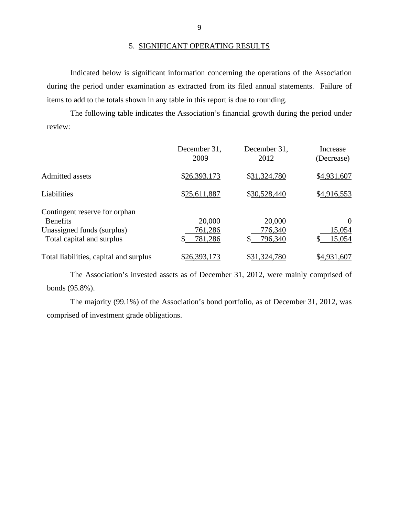Indicated below is significant information concerning the operations of the Association during the period under examination as extracted from its filed annual statements. Failure of items to add to the totals shown in any table in this report is due to rounding.

The following table indicates the Association's financial growth during the period under review:

|                                                                                                             | December 31,<br>2009               | December 31,<br>2012         | Increase<br>(Decrease)             |
|-------------------------------------------------------------------------------------------------------------|------------------------------------|------------------------------|------------------------------------|
| <b>Admitted assets</b>                                                                                      | \$26,393,173                       | \$31,324,780                 | \$4,931,607                        |
| Liabilities                                                                                                 | \$25,611,887                       | \$30,528,440                 | \$4,916,553                        |
| Contingent reserve for orphan<br><b>Benefits</b><br>Unassigned funds (surplus)<br>Total capital and surplus | 20,000<br>761,286<br>781,286<br>\$ | 20,000<br>776,340<br>796,340 | $\Omega$<br>15,054<br>15,054<br>\$ |
| Total liabilities, capital and surplus                                                                      | \$26,393,173                       | \$31,324,780                 | \$4,931,607                        |

The Association's invested assets as of December 31, 2012, were mainly comprised of bonds (95.8%).

The majority (99.1%) of the Association's bond portfolio, as of December 31, 2012, was comprised of investment grade obligations.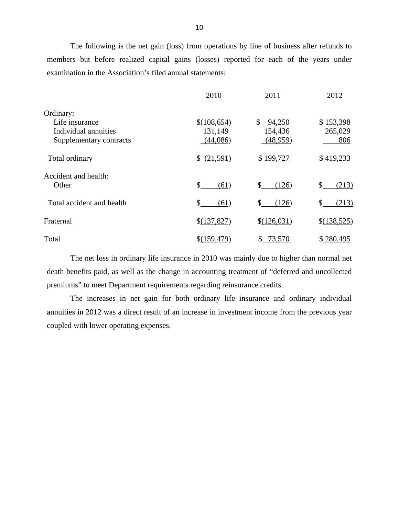The following is the net gain (loss) from operations by line of business after refunds to members but before realized capital gains (losses) reported for each of the years under examination in the Association's filed annual statements:

|                           | 2010         | 2011                     | 2012        |
|---------------------------|--------------|--------------------------|-------------|
| Ordinary:                 |              |                          |             |
| Life insurance            | \$(108,654)  | \$<br>94,250             | \$153,398   |
| Individual annuities      | 131,149      | 154,436                  | 265,029     |
| Supplementary contracts   | (44,086)     | (48,959)                 | 806         |
| Total ordinary            | \$ (21,591)  | \$199,727                | \$419,233   |
| Accident and health:      |              |                          |             |
| Other                     | \$<br>(61)   | \$<br>(126)              | \$<br>(213) |
| Total accident and health | \$<br>(61)   | (126)<br>\$.             | \$<br>(213) |
| Fraternal                 | \$(137,827)  | \$(126,031)              | \$(138,525) |
| Total                     | \$(159, 479) | 73,570<br>$\mathbb{S}^-$ | \$280,495   |

The net loss in ordinary life insurance in 2010 was mainly due to higher than normal net death benefits paid, as well as the change in accounting treatment of "deferred and uncollected premiums" to meet Department requirements regarding reinsurance credits.

The increases in net gain for both ordinary life insurance and ordinary individual annuities in 2012 was a direct result of an increase in investment income from the previous year coupled with lower operating expenses.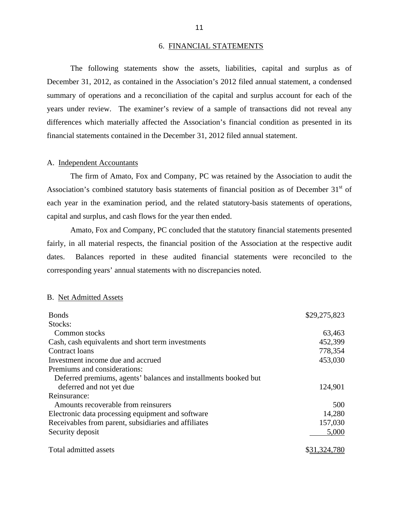#### 6. FINANCIAL STATEMENTS

<span id="page-13-0"></span>The following statements show the assets, liabilities, capital and surplus as of December 31, 2012, as contained in the Association's 2012 filed annual statement, a condensed summary of operations and a reconciliation of the capital and surplus account for each of the years under review. The examiner's review of a sample of transactions did not reveal any differences which materially affected the Association's financial condition as presented in its financial statements contained in the December 31, 2012 filed annual statement.

#### A. Independent Accountants

The firm of Amato, Fox and Company, PC was retained by the Association to audit the Association's combined statutory basis statements of financial position as of December  $31<sup>st</sup>$  of each year in the examination period, and the related statutory-basis statements of operations, capital and surplus, and cash flows for the year then ended.

Amato, Fox and Company, PC concluded that the statutory financial statements presented fairly, in all material respects, the financial position of the Association at the respective audit dates. Balances reported in these audited financial statements were reconciled to the corresponding years' annual statements with no discrepancies noted.

#### B. Net Admitted Assets

| <b>Bonds</b>                                                    | \$29,275,823 |
|-----------------------------------------------------------------|--------------|
| Stocks:                                                         |              |
| Common stocks                                                   | 63,463       |
| Cash, cash equivalents and short term investments               | 452,399      |
| Contract loans                                                  | 778,354      |
| Investment income due and accrued                               | 453,030      |
| Premiums and considerations:                                    |              |
| Deferred premiums, agents' balances and installments booked but |              |
| deferred and not yet due                                        | 124,901      |
| Reinsurance:                                                    |              |
| Amounts recoverable from reinsurers                             | 500          |
| Electronic data processing equipment and software               | 14,280       |
| Receivables from parent, subsidiaries and affiliates            | 157,030      |
| Security deposit                                                | 5,000        |
| Total admitted assets                                           |              |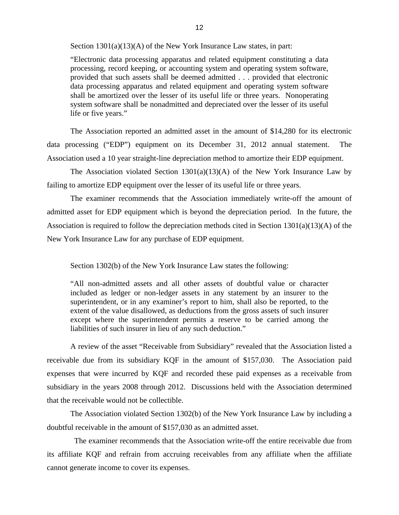Section 1301(a)(13)(A) of the New York Insurance Law states, in part:

"Electronic data processing apparatus and related equipment constituting a data processing, record keeping, or accounting system and operating system software, provided that such assets shall be deemed admitted . . . provided that electronic data processing apparatus and related equipment and operating system software shall be amortized over the lesser of its useful life or three years. Nonoperating system software shall be nonadmitted and depreciated over the lesser of its useful life or five years."

The Association reported an admitted asset in the amount of \$14,280 for its electronic data processing ("EDP") equipment on its December 31, 2012 annual statement. The Association used a 10 year straight-line depreciation method to amortize their EDP equipment.

The Association violated Section  $1301(a)(13)(A)$  of the New York Insurance Law by failing to amortize EDP equipment over the lesser of its useful life or three years.

The examiner recommends that the Association immediately write-off the amount of admitted asset for EDP equipment which is beyond the depreciation period. In the future, the Association is required to follow the depreciation methods cited in Section 1301(a)(13)(A) of the New York Insurance Law for any purchase of EDP equipment.

Section 1302(b) of the New York Insurance Law states the following:

"All non-admitted assets and all other assets of doubtful value or character included as ledger or non-ledger assets in any statement by an insurer to the superintendent, or in any examiner's report to him, shall also be reported, to the extent of the value disallowed, as deductions from the gross assets of such insurer except where the superintendent permits a reserve to be carried among the liabilities of such insurer in lieu of any such deduction."

A review of the asset "Receivable from Subsidiary" revealed that the Association listed a receivable due from its subsidiary KQF in the amount of \$157,030. The Association paid expenses that were incurred by KQF and recorded these paid expenses as a receivable from subsidiary in the years 2008 through 2012. Discussions held with the Association determined that the receivable would not be collectible.

The Association violated Section 1302(b) of the New York Insurance Law by including a doubtful receivable in the amount of \$157,030 as an admitted asset.

The examiner recommends that the Association write-off the entire receivable due from its affiliate KQF and refrain from accruing receivables from any affiliate when the affiliate cannot generate income to cover its expenses.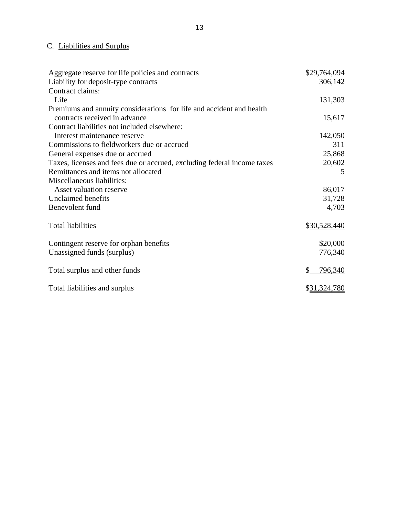# C. Liabilities and Surplus

| Aggregate reserve for life policies and contracts                       | \$29,764,094 |
|-------------------------------------------------------------------------|--------------|
| Liability for deposit-type contracts                                    | 306,142      |
| Contract claims:                                                        |              |
| Life                                                                    | 131,303      |
| Premiums and annuity considerations for life and accident and health    |              |
| contracts received in advance                                           | 15,617       |
| Contract liabilities not included elsewhere:                            |              |
| Interest maintenance reserve                                            | 142,050      |
| Commissions to fieldworkers due or accrued                              | 311          |
| General expenses due or accrued                                         | 25,868       |
| Taxes, licenses and fees due or accrued, excluding federal income taxes | 20,602       |
| Remittances and items not allocated                                     | 5            |
| Miscellaneous liabilities:                                              |              |
| Asset valuation reserve                                                 | 86,017       |
| Unclaimed benefits                                                      | 31,728       |
| Benevolent fund                                                         | 4,703        |
|                                                                         |              |
| <b>Total liabilities</b>                                                | \$30,528,440 |
|                                                                         |              |
| Contingent reserve for orphan benefits                                  | \$20,000     |
| Unassigned funds (surplus)                                              | 776,340      |
|                                                                         |              |
| Total surplus and other funds                                           | 796,340      |
|                                                                         |              |
| Total liabilities and surplus                                           | \$31,324,780 |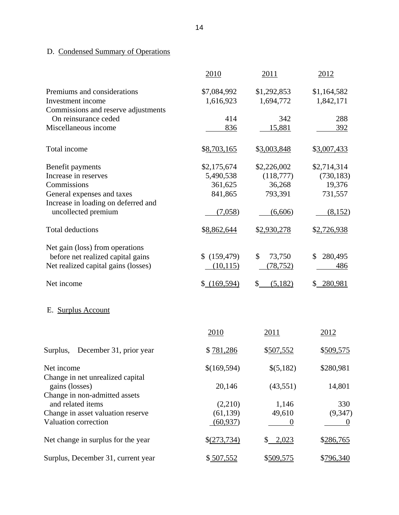# <span id="page-16-0"></span>D. Condensed Summary of Operations

|                                                             | 2010                     | 2011                     | 2012                     |
|-------------------------------------------------------------|--------------------------|--------------------------|--------------------------|
| Premiums and considerations<br>Investment income            | \$7,084,992<br>1,616,923 | \$1,292,853<br>1,694,772 | \$1,164,582<br>1,842,171 |
| Commissions and reserve adjustments<br>On reinsurance ceded | 414                      | 342                      | 288                      |
| Miscellaneous income                                        | 836                      | 15,881                   | 392                      |
|                                                             |                          |                          |                          |
| Total income                                                | \$8,703,165              | \$3,003,848              | \$3,007,433              |
| Benefit payments                                            | \$2,175,674              | \$2,226,002              | \$2,714,314              |
| Increase in reserves                                        | 5,490,538                | (118,777)                | (730, 183)               |
| Commissions                                                 | 361,625                  | 36,268                   | 19,376                   |
| General expenses and taxes                                  | 841,865                  | 793,391                  | 731,557                  |
| Increase in loading on deferred and                         |                          |                          |                          |
| uncollected premium                                         | (7,058)                  | (6,606)                  | (8,152)                  |
| <b>Total deductions</b>                                     | \$8,862,644              | \$2,930,278              | \$2,726,938              |
| Net gain (loss) from operations                             |                          |                          |                          |
| before net realized capital gains                           | \$(159, 479)             | \$<br>73,750             | 280,495<br>\$            |
| Net realized capital gains (losses)                         | (10, 115)                | (78, 752)                | 486                      |
| Net income                                                  | $$$ (169,594)            | (5,182)<br>\$            | \$ 280,981               |
| <b>Surplus Account</b><br>Е.                                |                          |                          |                          |
|                                                             | 2010                     | 2011                     | 2012                     |
| Surplus,<br>December 31, prior year                         | \$781,286                | \$507,552                | \$509,575                |
| Net income<br>Change in net unrealized capital              | \$(169,594)              | \$(5,182)                | \$280,981                |
| gains (losses)                                              | 20,146                   | (43, 551)                | 14,801                   |
| Change in non-admitted assets                               |                          |                          |                          |
| and related items                                           | (2,210)                  | 1,146                    | 330                      |
| Change in asset valuation reserve                           | (61, 139)                | 49,610                   | (9, 347)                 |
| Valuation correction                                        | (60, 937)                |                          |                          |
| Net change in surplus for the year                          | \$(273,734)              | \$ 2,023                 | \$286,765                |
| Surplus, December 31, current year                          | \$507,552                | \$509,575                | \$796,340                |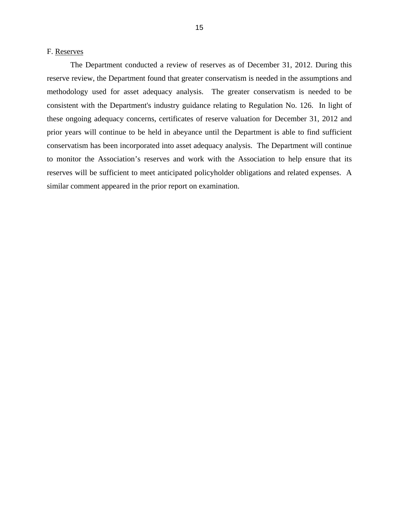#### <span id="page-17-0"></span>F. Reserves

The Department conducted a review of reserves as of December 31, 2012. During this reserve review, the Department found that greater conservatism is needed in the assumptions and methodology used for asset adequacy analysis. The greater conservatism is needed to be consistent with the Department's industry guidance relating to Regulation No. 126. In light of these ongoing adequacy concerns, certificates of reserve valuation for December 31, 2012 and prior years will continue to be held in abeyance until the Department is able to find sufficient conservatism has been incorporated into asset adequacy analysis. The Department will continue to monitor the Association's reserves and work with the Association to help ensure that its reserves will be sufficient to meet anticipated policyholder obligations and related expenses. A similar comment appeared in the prior report on examination.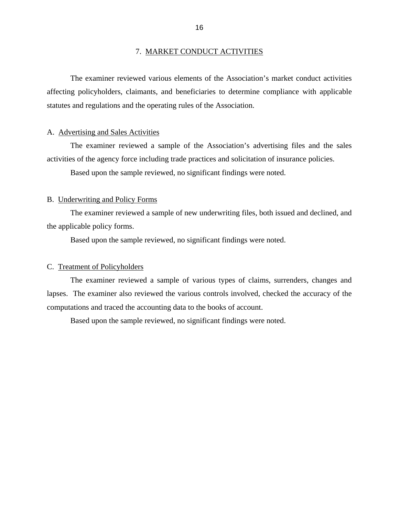#### 7. MARKET CONDUCT ACTIVITIES

<span id="page-18-0"></span>The examiner reviewed various elements of the Association's market conduct activities affecting policyholders, claimants, and beneficiaries to determine compliance with applicable statutes and regulations and the operating rules of the Association.

#### A. Advertising and Sales Activities

activities of the agency force including trade practices and solicitation of insurance policies.<br>Based upon the sample reviewed, no significant findings were noted. The examiner reviewed a sample of the Association's advertising files and the sales

#### B. Underwriting and Policy Forms

The examiner reviewed a sample of new underwriting files, both issued and declined, and the applicable policy forms.

Based upon the sample reviewed, no significant findings were noted.

#### C. Treatment of Policyholders

The examiner reviewed a sample of various types of claims, surrenders, changes and lapses. The examiner also reviewed the various controls involved, checked the accuracy of the computations and traced the accounting data to the books of account.

Based upon the sample reviewed, no significant findings were noted.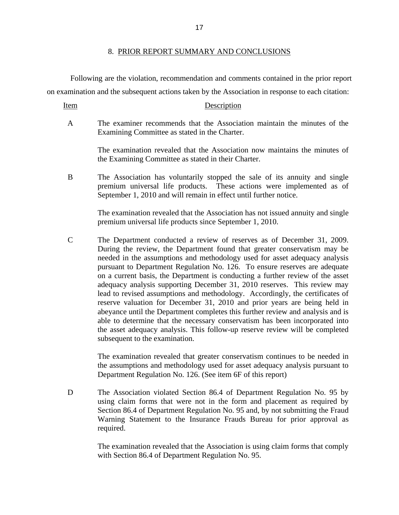Following are the violation, recommendation and comments contained in the prior report on examination and the subsequent actions taken by the Association in response to each citation:

Item Description

A The examiner recommends that the Association maintain the minutes of the Examining Committee as stated in the Charter.

> The examination revealed that the Association now maintains the minutes of the Examining Committee as stated in their Charter.

B The Association has voluntarily stopped the sale of its annuity and single premium universal life products. These actions were implemented as of September 1, 2010 and will remain in effect until further notice.

> The examination revealed that the Association has not issued annuity and single premium universal life products since September 1, 2010.

C The Department conducted a review of reserves as of December 31, 2009. During the review, the Department found that greater conservatism may be needed in the assumptions and methodology used for asset adequacy analysis pursuant to Department Regulation No. 126. To ensure reserves are adequate on a current basis, the Department is conducting a further review of the asset adequacy analysis supporting December 31, 2010 reserves. This review may lead to revised assumptions and methodology. Accordingly, the certificates of reserve valuation for December 31, 2010 and prior years are being held in abeyance until the Department completes this further review and analysis and is able to determine that the necessary conservatism has been incorporated into the asset adequacy analysis. This follow-up reserve review will be completed subsequent to the examination.

> The examination revealed that greater conservatism continues to be needed in the assumptions and methodology used for asset adequacy analysis pursuant to Department Regulation No. 126. (See item 6F of this report)

D The Association violated Section 86.4 of Department Regulation No. 95 by using claim forms that were not in the form and placement as required by Section 86.4 of Department Regulation No. 95 and, by not submitting the Fraud Warning Statement to the Insurance Frauds Bureau for prior approval as required.

> The examination revealed that the Association is using claim forms that comply with Section 86.4 of Department Regulation No. 95.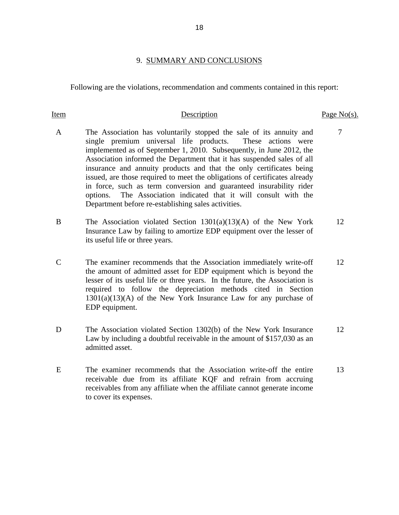#### 9. SUMMARY AND CONCLUSIONS

<span id="page-20-0"></span>Following are the violations, recommendation and comments contained in this report:

#### Item Description Description Page No(s).

- A The Association has voluntarily stopped the sale of its annuity and 7 single premium universal life products. These actions were implemented as of September 1, 2010. Subsequently, in June 2012, the Association informed the Department that it has suspended sales of all insurance and annuity products and that the only certificates being issued, are those required to meet the obligations of certificates already in force, such as term conversion and guaranteed insurability rider options. The Association indicated that it will consult with the Department before re-establishing sales activities.
- B The Association violated Section 1301(a)(13)(A) of the New York 12 Insurance Law by failing to amortize EDP equipment over the lesser of its useful life or three years.
- C The examiner recommends that the Association immediately write-off 12 the amount of admitted asset for EDP equipment which is beyond the lesser of its useful life or three years. In the future, the Association is required to follow the depreciation methods cited in Section  $1301(a)(13)(A)$  of the New York Insurance Law for any purchase of EDP equipment.
- D The Association violated Section 1302(b) of the New York Insurance 12 Law by including a doubtful receivable in the amount of \$157,030 as an admitted asset.
- E The examiner recommends that the Association write-off the entire 13 receivable due from its affiliate KQF and refrain from accruing receivables from any affiliate when the affiliate cannot generate income to cover its expenses.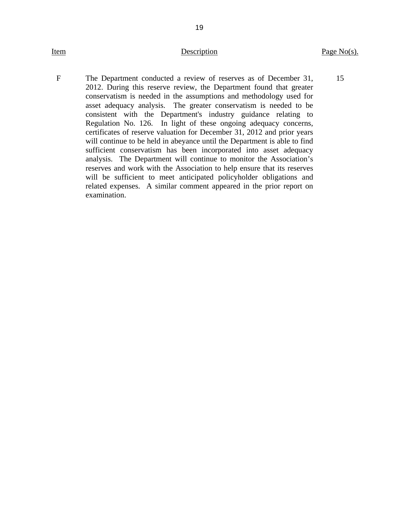### Item Description

19

F The Department conducted a review of reserves as of December 31, 2012. During this reserve review, the Department found that greater conservatism is needed in the assumptions and methodology used for asset adequacy analysis. The greater conservatism is needed to be consistent with the Department's industry guidance relating to Regulation No. 126. In light of these ongoing adequacy concerns, certificates of reserve valuation for December 31, 2012 and prior years will continue to be held in abeyance until the Department is able to find sufficient conservatism has been incorporated into asset adequacy analysis. The Department will continue to monitor the Association's reserves and work with the Association to help ensure that its reserves will be sufficient to meet anticipated policyholder obligations and related expenses. A similar comment appeared in the prior report on examination.

15